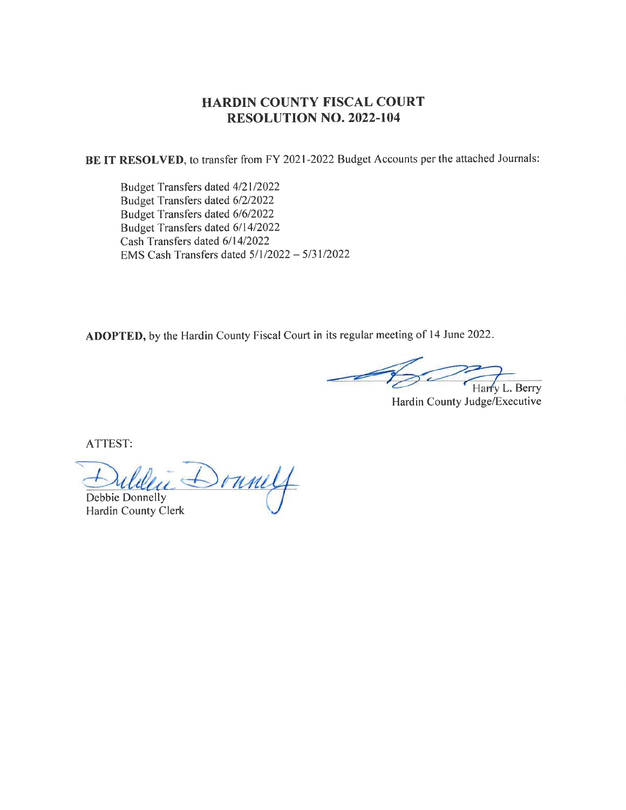# HARDIN COUNTY FISCAL COURT RESOLUTION NO. 2022.104

BE IT RESOLVED, to transfer from FY 2021-2022 Budget Accounts per the attached Journals:

Budget Transfers dated 4/21/2022 Budget Transfers dated 612/2022 Budget Transfers dated 616/2022 Budget Transfers dated 611412022 Cash Transfers dated 6/14/2022 EMS Cash Transfers dated  $5/1/2022 - 5/31/2022$ 

ADOPTED, by the Hardin County Fiscal Court in its regular meeting of 14 June 2022.

Harry L. Berry

Hardin County Judge/Executive

ATTEST:

 $\delta$ runilf Debbie Donnelly

Hardin County Clerk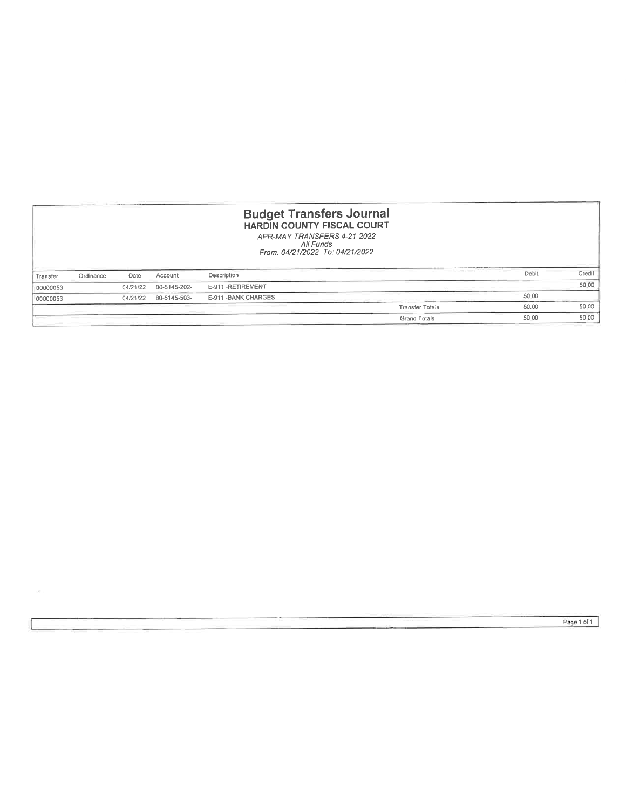| <b>Budget Transfers Journal</b><br><b>HARDIN COUNTY FISCAL COURT</b><br>APR-MAY TRANSFERS 4-21-2022<br>All Funds<br>From: 04/21/2022 To: 04/21/2022 |           |          |              |                      |                        |       |        |
|-----------------------------------------------------------------------------------------------------------------------------------------------------|-----------|----------|--------------|----------------------|------------------------|-------|--------|
| Transfer                                                                                                                                            | Ordinance | Date     | Account      | Description          |                        | Debit | Credit |
| 00000053                                                                                                                                            |           | 04/21/22 | 80-5145-202- | E-911-RETIREMENT     |                        |       | 50.00  |
| 00000053                                                                                                                                            |           | 04/21/22 | 80-5145-503- | E-911 - BANK CHARGES |                        | 50.00 |        |
|                                                                                                                                                     |           |          |              |                      | <b>Transfer Totals</b> | 50.00 | 50.00  |
|                                                                                                                                                     |           |          |              |                      | <b>Grand Totals</b>    | 50 00 | 50 00  |

i.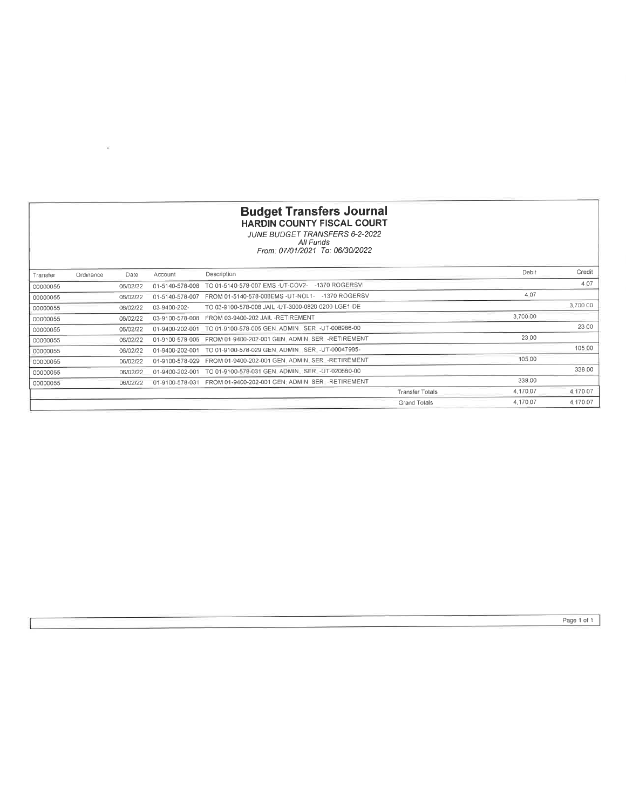|          | <b>Budget Transfers Journal</b><br><b>HARDIN COUNTY FISCAL COURT</b><br>JUNE BUDGET TRANSFERS 6-2-2022<br>All Funds<br>From: 07/01/2021 To: 06/30/2022 |          |                 |                                                    |                        |          |          |  |  |  |
|----------|--------------------------------------------------------------------------------------------------------------------------------------------------------|----------|-----------------|----------------------------------------------------|------------------------|----------|----------|--|--|--|
| Transfer | Ordinance                                                                                                                                              | Date     | Account         | Description                                        |                        | Debit    | Credit   |  |  |  |
| 00000055 |                                                                                                                                                        | 06/02/22 | 01-5140-578-008 | -1370 ROGERSVI<br>TO 01-5140-578-007 EMS -UT-COV2- |                        |          | 4.07     |  |  |  |
| 00000055 |                                                                                                                                                        | 06/02/22 | 01-5140-578-007 | FROM 01-5140-578-008EMS -UT-NOL1- -1370 ROGERSV    |                        | 4.07     |          |  |  |  |
| 00000055 |                                                                                                                                                        | 06/02/22 | 03-9400-202-    | TO 03-9100-578-008 JAIL -UT-3000-0820-0200-LGE1-DE |                        |          | 3,700 00 |  |  |  |
| 00000055 |                                                                                                                                                        | 06/02/22 | 03-9100-578-008 | FROM 03-9400-202 JAIL -RETIREMENT                  |                        | 3.700.00 |          |  |  |  |
| 00000055 |                                                                                                                                                        | 06/02/22 | 01-9400-202-001 | TO 01-9100-578-005 GEN_ADMIN_SER -UT-008986-00     |                        |          | 23 00    |  |  |  |
| 00000055 |                                                                                                                                                        | 06/02/22 | 01-9100-578-005 | FROM 01-9400-202-001 GEN ADMIN SER -RETIREMENT     |                        | 23 00    |          |  |  |  |
| 00000055 |                                                                                                                                                        | 06/02/22 | 01-9400-202-001 | TO 01-9100-578-029 GEN ADMIN SER -UT-00047985-     |                        |          | 105.00   |  |  |  |
| 00000055 |                                                                                                                                                        | 06/02/22 | 01-9100-578-029 | FROM 01-9400-202-001 GEN ADMIN SER -RETIREMENT     |                        | 105 00   |          |  |  |  |
| 00000055 |                                                                                                                                                        | 06/02/22 | 01-9400-202-001 | TO 01-9100-578-031 GEN ADMIN SER -UT-020660-00     |                        |          | 338 00   |  |  |  |
| 00000055 |                                                                                                                                                        | 06/02/22 | 01-9100-578-031 | FROM 01-9400-202-001 GEN: ADMIN SER -RETIREMENT    |                        | 338.00   |          |  |  |  |
|          |                                                                                                                                                        |          |                 |                                                    | <b>Transfer Tolals</b> | 4.170.07 | 4.170.07 |  |  |  |
|          |                                                                                                                                                        |          |                 |                                                    | <b>Grand Tolals</b>    | 4.170.07 | 4.170.07 |  |  |  |

 $\frac{1}{4}$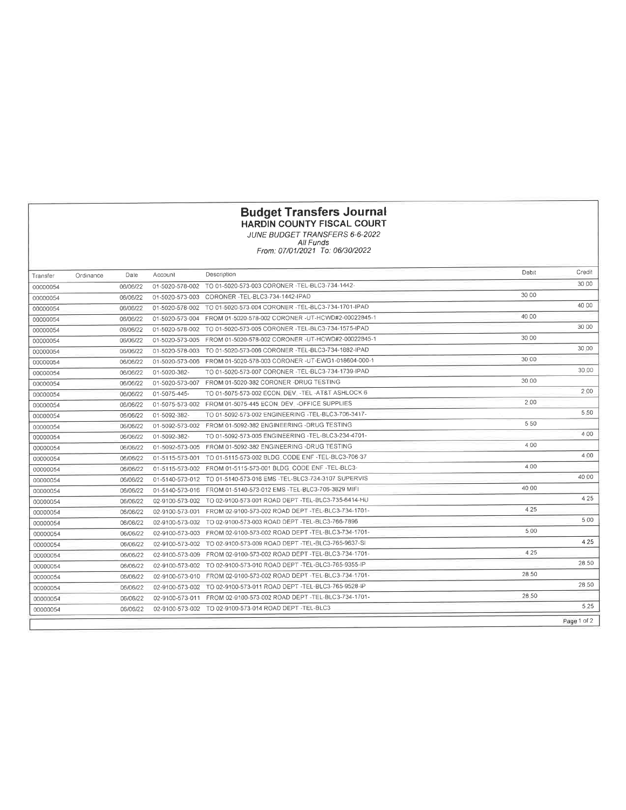#### HARDIN COUNTY FISCAL COURT

JUNE BUDGET TRANSFERS 6-6.2022 All Funds From: 07/01/2021 To: 06/30/2022

| Transfer | Ordinance | Date     | Account         | Description                                                      | Debit | Credit      |
|----------|-----------|----------|-----------------|------------------------------------------------------------------|-------|-------------|
| 00000054 |           | 06/06/22 | 01-5020-578-002 | TO 01-5020-573-003 CORONER -TEL-BLC3-734-1442-                   |       | 30 00       |
| 00000054 |           | 06/06/22 | 01-5020-573-003 | CORONER -TEL-BLC3-734-1442-IPAD                                  | 30 00 |             |
| 00000054 |           | 06/06/22 | 01-5020-578-002 | TO 01-5020-573-004 CORONER -TEL-BLC3-734-1701-IPAD               |       | 40 00       |
| 00000054 |           | 06/06/22 | 01-5020-573-004 | FROM 01-5020-578-002 CORONER -UT-HCWD#2-00022845-1               | 40.00 |             |
| 00000054 |           | 06/06/22 | 01-5020-578-002 | TO 01-5020-573-005 CORONER -TEL-BLC3-734-1575-IPAD               |       | 30 00       |
| 00000054 |           | 06/06/22 | 01-5020-573-005 | FROM 01-5020-578-002 CORONER -UT-HCWD#2-00022845-1               | 30.00 |             |
| 00000054 |           | 06/06/22 | 01-5020-578-003 | TO 01-5020-573-006 CORONER -TEL-BLC3-734-1882-IPAD               |       | 30.00       |
| 00000054 |           | 06/06/22 | 01-5020-573-006 | FROM 01-5020-578-003 CORONER -UT-EWG1-018604-000-1               | 30.00 |             |
| 00000054 |           | 06/06/22 | 01-5020-382-    | TO 01-5020-573-007 CORONER -TEL-BLC3-734-1739-IPAD               |       | 30:00       |
| 00000054 |           | 06/06/22 | 01-5020-573-007 | FROM 01-5020-382 CORONER -DRUG TESTING                           | 30 00 |             |
| 00000054 |           | 06/06/22 | 01-5075-445-    | TO 01-5075-573-002 ECON DEV -TEL -AT&T ASHLOCK 6                 |       | 2.00        |
| 00000054 |           | 06/06/22 |                 | 01-5075-573-002    FROM 01-5075-445    ECON DEV -OFFICE SUPPLIES | 200   |             |
| 00000054 |           | 06/06/22 | 01-5092-382-    | TO 01-5092-573-002 ENGINEERING -TEL-BLC3-706-3417-               |       | 5.50        |
| 00000054 |           | 06/06/22 | 01-5092-573-002 | FROM 01-5092-382 ENGINEERING -DRUG TESTING                       | 5 50  |             |
| 00000054 |           | 06/06/22 | 01-5092-382-    | TO 01-5092-573-005 ENGINEERING -TEL-BLC3-234-4701-               |       | 4.00        |
| 00000054 |           | 06/06/22 | 01-5092-573-005 | FROM 01-5092-382 ENGINEERING -DRUG TESTING                       | 4.00  |             |
| 00000054 |           | 06/06/22 | 01-5115-573-001 | TO 01-5115-573-002 BLDG. CODE ENF -TEL-BLC3-706-37               |       | 4.00        |
| 00000054 |           | 06/06/22 | 01-5115-573-002 | FROM 01-5115-573-001 BLDG. CODE ENF -TEL-BLC3-                   | 4.00  |             |
| 00000054 |           | 06/06/22 | 01-5140-573-012 | TO 01-5140-573-016 EMS -TEL-BLC3-734-3107 SUPERVIS               |       | 40.00       |
| 00000054 |           | 06/06/22 | 01-5140-573-016 | FROM 01-5140-573-012 EMS -TEL-BLC3-706-3829 MIFI                 | 40 00 |             |
| 00000054 |           | 06/06/22 | 02-9100-573-002 | TO 02-9100-573-001 ROAD DEPT -TEL-BLC3-735-6414-HU               |       | 425         |
| 00000054 |           | 06/06/22 | 02-9100-573-001 | FROM 02-9100-573-002 ROAD DEPT - TEL-BLC3-734-1701-              | 4 2 5 |             |
| 00000054 |           | 06/06/22 | 02-9100-573-002 | TO 02-9100-573-003 ROAD DEPT -TEL-BLC3-766-7896                  |       | 5 0 0       |
| 00000054 |           | 06/06/22 | 02-9100-573-003 | FROM 02-9100-573-002 ROAD DEPT -TEL-BLC3-734-1701-               | 5.00  |             |
| 00000054 |           | 06/06/22 | 02-9100-573-002 | TO 02-9100-573-009 ROAD DEPT -TEL-BLC3-765-9637-SI               |       | 4.25        |
| 00000054 |           | 06/06/22 | 02-9100-573-009 | FROM 02-9100-573-002 ROAD DEPT -TEL-BLC3-734-1701-               | 4.25  |             |
| 00000054 |           | 06/06/22 | 02-9100-573-002 | TO 02-9100-573-010 ROAD DEPT -TEL-BLC3-765-9355-IP               |       | 28 50       |
| 00000054 |           | 06/06/22 | 02-9100-573-010 | FROM 02-9100-573-002 ROAD DEPT -TEL-BLC3-734-1701-               | 28 50 |             |
| 00000054 |           | 06/06/22 | 02-9100-573-002 | TO 02-9100-573-011 ROAD DEPT -TEL-BLC3-765-9528-IP               |       | 28 50       |
| 00000054 |           | 06/06/22 | 02-9100-573-011 | FROM 02-9100-573-002 ROAD DEPT -TEL-BLC3-734-1701-               | 28.50 |             |
| 00000054 |           | 06/06/22 |                 | 02-9100-573-002 TO 02-9100-573-014 ROAD DEPT -TEL-BLC3           |       | 5 2 5       |
|          |           |          |                 |                                                                  |       | Page 1 of 2 |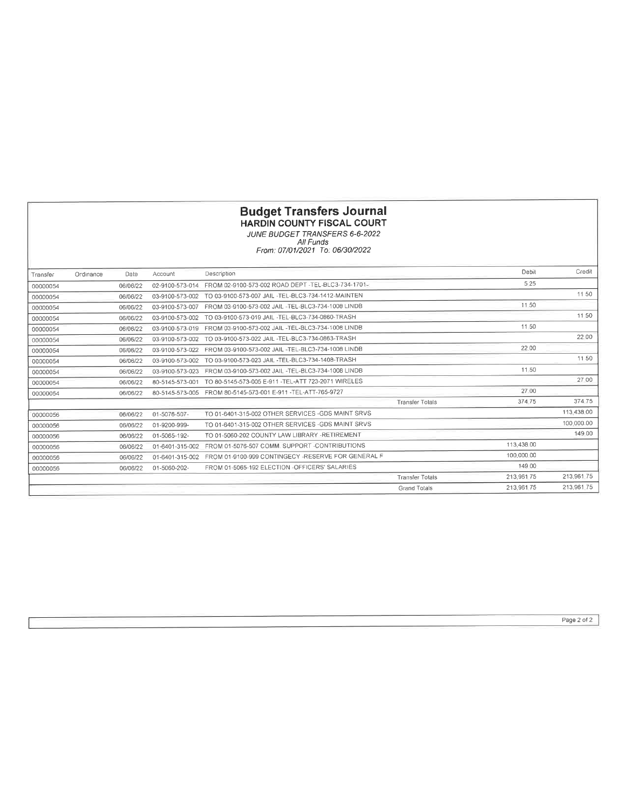#### Budget Transfers Journal HARDIN COUNTY FISCAL COURT

JUNE BUDGET IRANSFERS 6-6-2022 All Funds From: 07/01/2021 To: 06/30/2022

| Transfer | Ordinance | Date     | Account         | Description                                                   |                        | Debit      | Credit     |
|----------|-----------|----------|-----------------|---------------------------------------------------------------|------------------------|------------|------------|
| 00000054 |           | 06/06/22 | 02-9100-573-014 | FROM 02-9100-573-002 ROAD DEPT - TEL-BLC3-734-1701-           |                        | 5 2 5      |            |
| 00000054 |           | 06/06/22 | 03-9100-573-002 | TO 03-9100-573-007 JAIL -TEL-BLC3-734-1412-MAINTEN            |                        |            | 11 50      |
| 00000054 |           | 06/06/22 | 03-9100-573-007 | FROM 03-9100-573-002 JAIL -TEL-BLC3-734-1008 LINDB            |                        | 11.50      |            |
| 00000054 |           | 06/06/22 | 03-9100-573-002 | TO 03-9100-573-019 JAIL -TEL-BLC3-734-0860-TRASH              |                        |            | 11 50      |
| 00000054 |           | 06/06/22 | 03-9100-573-019 | FROM 03-9100-573-002 JAIL -TEL-BLC3-734-1008 LINDB            |                        | 11.50      |            |
| 00000054 |           | 06/06/22 | 03-9100-573-002 | TO 03-9100-573-022 JAIL -TEL-BLC3-734-0863-TRASH              |                        |            | 22 00      |
| 00000054 |           | 06/06/22 | 03-9100-573-022 | FROM 03-9100-573-002 JAIL -TEL-BLC3-734-1008 LINDB            |                        | 22 00      |            |
| 00000054 |           | 06/06/22 | 03-9100-573-002 | TO 03-9100-573-023 JAIL -TEL-BLC3-734-1408-TRASH              |                        |            | 11 50      |
| 00000054 |           | 06/06/22 | 03-9100-573-023 | FROM 03-9100-573-002 JAIL -TEL-BLC3-734-1008 LINDB            |                        | 11.50      |            |
| 00000054 |           | 06/06/22 | 80-5145-573-001 | TO 80-5145-573-005 E-911 - TEL-ATT 723-2071 WIRELES           |                        |            | 27.00      |
| 00000054 |           | 06/06/22 |                 | 80-5145-573-005 FROM 80-5145-573-001 E-911 - TEL-ATT-765-9727 |                        | 27 00      |            |
|          |           |          |                 |                                                               | <b>Transfer Tolals</b> | 374.75     | 374.75     |
| 00000056 |           | 06/06/22 | 01-5076-507-    | TO 01-6401-315-002 OTHER SERVICES -GDS MAINT SRVS             |                        |            | 113.438.00 |
| 00000056 |           | 06/06/22 | 01-9200-999-    | TO 01-6401-315-002 OTHER SERVICES -GDS MAINT SRVS             |                        |            | 100.000.00 |
| 00000056 |           | 06/06/22 | 01-5065-192-    | TO 01-5060-202 COUNTY LAW LIBRARY -RETIREMENT                 |                        |            | 149.00     |
| 00000056 |           | 06/06/22 | 01-6401-315-002 | FROM 01-5076-507 COMM SUPPORT-CONTRIBUTIONS                   |                        | 113.438.00 |            |
| 00000056 |           | 06/06/22 | 01-6401-315-002 | FROM 01-9100-999 CONTINGECY -RESERVE FOR GENERAL F            |                        | 100,000.00 |            |
| 00000056 |           | 06/06/22 | 01-5060-202-    | FROM 01-5065-192 ELECTION -OFFICERS' SALARIES                 |                        | 149.00     |            |
|          |           |          |                 |                                                               | <b>Transfer Totals</b> | 213.96175  | 213.961.75 |
|          |           |          |                 |                                                               | <b>Grand Totals</b>    | 213.961.75 | 213.961.75 |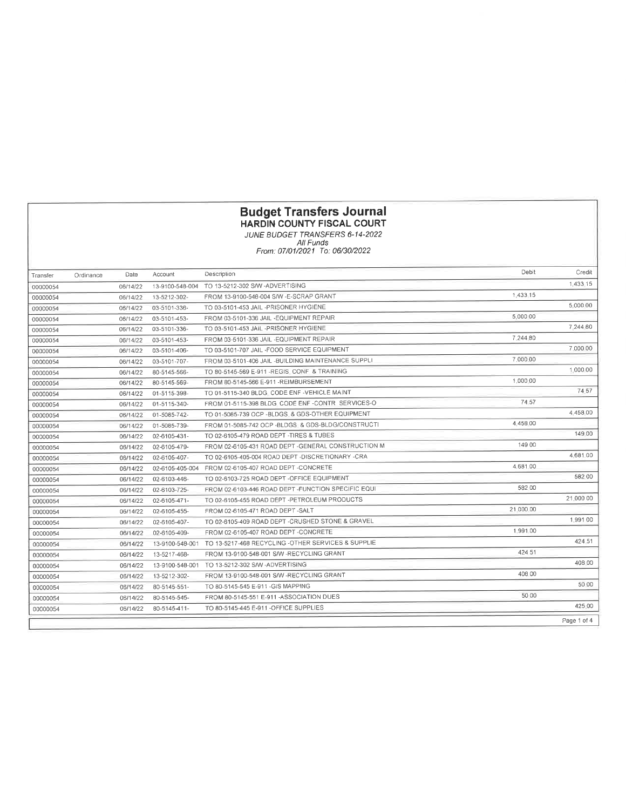### HARDIN COUNTY FISCAL COURT

JUNE BUDGET TRANSFERS 6-14-2022 All Funds Fron : 07 /01 /2021 To: 06/30/2022

| Transfer | Ordinance | Date     | Account         | Description                                         | Debit     | Credit      |
|----------|-----------|----------|-----------------|-----------------------------------------------------|-----------|-------------|
| 00000054 |           | 06/14/22 | 13-9100-548-004 | TO 13-5212-302 S/W-ADVERTISING                      |           | 1.433.15    |
| 00000054 |           | 06/14/22 | 13-5212-302-    | FROM 13-9100-548-004 S/W -E-SCRAP GRANT             | 1,433.15  |             |
| 00000054 |           | 06/14/22 | 03-5101-336-    | TO 03-5101-453 JAIL -PRISONER HYGIENE               |           | 5.000 00    |
| 00000054 |           | 06/14/22 | 03-5101-453-    | FROM 03-5101-336 JAIL -EQUIPMENT REPAIR             | 5,000 00  |             |
| 00000054 |           | 06/14/22 | 03-5101-336-    | TO 03-5101-453 JAIL -PRISONER HYGIENE               |           | 7 244 80    |
| 00000054 |           | 06/14/22 | 03-5101-453-    | FROM 03-5101-336 JAIL -EQUIPMENT REPAIR             | 7.244.80  |             |
| 00000054 |           | 06/14/22 | 03-5101-406-    | TO 03-5101-707 JAIL -FOOD SERVICE EQUIPMENT         |           | 7.000.00    |
| 00000054 |           | 06/14/22 | 03-5101-707-    | FROM 03-5101-406 JAIL -BUILDING MAINTENANCE SUPPLI  | 7,000.00  |             |
| 00000054 |           | 06/14/22 | 80-5145-566-    | TO 80-5145-569 E-911 -REGIS_CONF_& TRAINING         |           | 1.000.00    |
| 00000054 |           | 06/14/22 | 80-5145-569-    | FROM 80-5145-566 E-911 -REIMBURSEMENT               | 1,000.00  |             |
| 00000054 |           | 06/14/22 | 01-5115-398-    | TO 01-5115-340 BLDG CODE ENF -VEHICLE MAINT         |           | 74 57       |
| 00000054 |           | 06/14/22 | 01-5115-340-    | FROM 01-5115-398 BLDG. CODE ENF -CONTR SERVICES-O   | 74.57     |             |
| 00000054 |           | 06/14/22 | 01-5085-742-    | TO 01-5085-739 OCP -BLDGS_& GDS-OTHER EQUIPMENT     |           | 4.458.00    |
| 00000054 |           | 06/14/22 | 01-5085-739-    | FROM 01-5085-742 OCP -BLDGS & GDS-BLDG/CONSTRUCTI   | 4,458 00  |             |
| 00000054 |           | 06/14/22 | 02-6105-431-    | TO 02-6105-479 ROAD DEPT -TIRES & TUBES             |           | 149.00      |
| 00000054 |           | 06/14/22 | 02-6105-479-    | FROM 02-6105-431 ROAD DEPT - GENERAL CONSTRUCTION M | 149 00    |             |
| 00000054 |           | 06/14/22 | 02-6105-407-    | TO 02-6105-405-004 ROAD DEPT -DISCRETIONARY -CRA    |           | 4.681.00    |
| 00000054 |           | 06/14/22 | 02-6105-405-004 | FROM 02-6105-407 ROAD DEPT -CONCRETE                | 4.681.00  |             |
| 00000054 |           | 06/14/22 | 02-6103-446-    | TO 02-6103-725 ROAD DEPT -OFFICE EQUIPMENT          |           | 582 00      |
| 00000054 |           | 06/14/22 | 02-6103-725-    | FROM 02-6103-446 ROAD DEPT - FUNCTION SPECIFIC EQUI | 582 00    |             |
| 00000054 |           | 06/14/22 | 02-6105-471-    | TO 02-6105-455 ROAD DEPT -PETROLEUM PRODUCTS        |           | 21,000 00   |
| 00000054 |           | 06/14/22 | 02-6105-455-    | FROM 02-6105-471 ROAD DEPT -SALT                    | 21.000.00 |             |
| 00000054 |           | 06/14/22 | 02-6105-407-    | TO 02-6105-409 ROAD DEPT -CRUSHED STONE & GRAVEL    |           | 1.991 00    |
| 00000054 |           | 06/14/22 | 02-6105-409-    | FROM 02-6105-407 ROAD DEPT - CONCRETE               | 1.991.00  |             |
| 00000054 |           | 06/14/22 | 13-9100-548-001 | TO 13-5217-468 RECYCLING -OTHER SERVICES & SUPPLIE  |           | 424.51      |
| 00000054 |           | 06/14/22 | 13-5217-468-    | FROM 13-9100-548-001 S/W -RECYCLING GRANT           | 424 51    |             |
| 00000054 |           | 06/14/22 | 13-9100-548-001 | TO 13-5212-302 S/W-ADVERTISING                      |           | 408.00      |
| 00000054 |           | 06/14/22 | 13-5212-302-    | FROM 13-9100-548-001 S/W -RECYCLING GRANT           | 408 00    |             |
| 00000054 |           | 06/14/22 | 80-5145-551-    | TO 80-5145-545 E-911 - GIS MAPPING                  |           | 50.00       |
| 00000054 |           | 06/14/22 | 80-5145-545-    | FROM 80-5145-551 E-911 -ASSOCIATION DUES            | 50 00     |             |
| 00000054 |           | 06/14/22 | 80-5145-411-    | TO 80-5145-445 E-911 - OFFICE SUPPLIES              |           | 425.00      |
|          |           |          |                 |                                                     |           | Page 1 of 4 |
|          |           |          |                 |                                                     |           |             |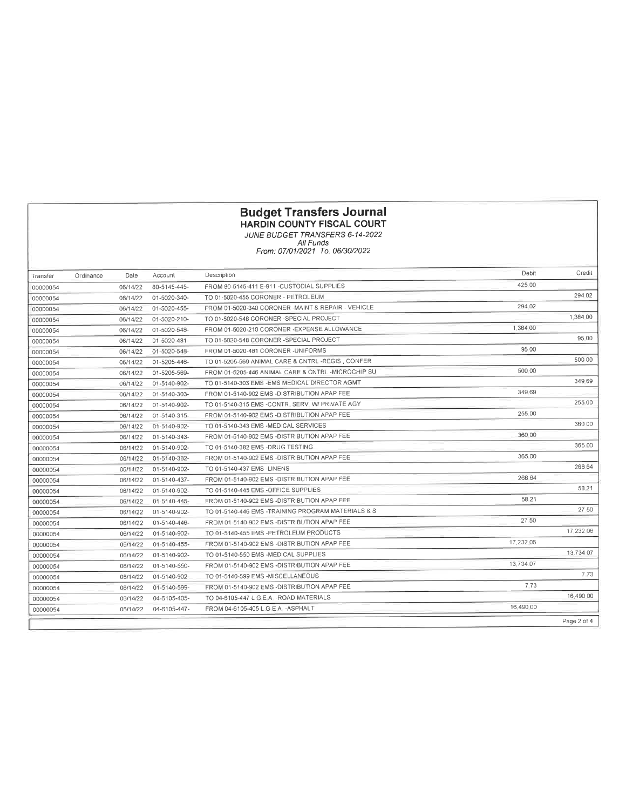#### HARDIN COUNTY FISCAL COURT

JUNE BUDGET IRANSFERS 6-14-2022 All Funds From : 07/01 /2021 To: 06/30/2022

| Transfer | Ordinance | Date     | Account      | Description                                        | Debit     | Credit      |
|----------|-----------|----------|--------------|----------------------------------------------------|-----------|-------------|
| 00000054 |           | 06/14/22 | 80-5145-445- | FROM 80-5145-411 E-911 -CUSTODIAL SUPPLIES         | 425.00    |             |
| 00000054 |           | 06/14/22 | 01-5020-340- | TO 01-5020-455 CORONER - PETROLEUM                 |           | 294 02      |
| 00000054 |           | 06/14/22 | 01-5020-455- | FROM 01-5020-340 CORONER -MAINT & REPAIR - VEHICLE | 294.02    |             |
| 00000054 |           | 06/14/22 | 01-5020-210- | TO 01-5020-548 CORONER -SPECIAL PROJECT            |           | 1.384.00    |
| 00000054 |           | 06/14/22 | 01-5020-548- | FROM 01-5020-210 CORONER - EXPENSE ALLOWANCE       | 1.384.00  |             |
| 00000054 |           | 06/14/22 | 01-5020-481- | TO 01-5020-548 CORONER -SPECIAL PROJECT            |           | 95.00       |
| 00000054 |           | 06/14/22 | 01-5020-548- | FROM 01-5020-481 CORONER -UNIFORMS                 | 95 00     |             |
| 00000054 |           | 06/14/22 | 01-5205-446- | TO 01-5205-569 ANIMAL CARE & CNTRL -REGIS , CONFER |           | 500 00      |
| 00000054 |           | 06/14/22 | 01-5205-569- | FROM 01-5205-446 ANIMAL CARE & CNTRL -MICROCHIP SU | 500 00    |             |
| 00000054 |           | 06/14/22 | 01-5140-902- | TO 01-5140-303 EMS -EMS MEDICAL DIRECTOR AGMT      |           | 349.69      |
| 00000054 |           | 06/14/22 | 01-5140-303- | FROM 01-5140-902 EMS -DISTRIBUTION APAP FEE        | 349.69    |             |
| 00000054 |           | 06/14/22 | 01-5140-902- | TO 01-5140-315 EMS -CONTR. SERV. W/ PRIVATE AGY    |           | 255.00      |
| 00000054 |           | 06/14/22 | 01-5140-315- | FROM 01-5140-902 EMS -DISTRIBUTION APAP FEE        | 255 00    |             |
| 00000054 |           | 06/14/22 | 01-5140-902- | TO 01-5140-343 EMS -MEDICAL SERVICES               |           | 360 00      |
| 00000054 |           | 06/14/22 | 01-5140-343- | FROM 01-5140-902 EMS -DISTRIBUTION APAP FEE        | 360 00    |             |
| 00000054 |           | 06/14/22 | 01-5140-902- | TO 01-5140-382 EMS -DRUG TESTING                   |           | 365.00      |
| 00000054 |           | 06/14/22 | 01-5140-382- | FROM 01-5140-902 EMS -DISTRIBUTION APAP FEE        | 365 00    |             |
| 00000054 |           | 06/14/22 | 01-5140-902- | TO 01-5140-437 EMS -LINENS                         |           | 268 64      |
| 00000054 |           | 06/14/22 | 01-5140-437- | FROM 01-5140-902 EMS -DISTRIBUTION APAP FEE        | 268 64    |             |
| 00000054 |           | 06/14/22 | 01-5140-902- | TO 01-5140-445 EMS -OFFICE SUPPLIES                |           | 58.21       |
| 00000054 |           | 06/14/22 | 01-5140-445- | FROM 01-5140-902 EMS -DISTRIBUTION APAP FEE        | 58 21     |             |
| 00000054 |           | 06/14/22 | 01-5140-902- | TO 01-5140-446 EMS -TRAINING PROGRAM MATERIALS & S |           | 27.50       |
| 00000054 |           | 06/14/22 | 01-5140-446- | FROM 01-5140-902 EMS - DISTRIBUTION APAP FEE       | 27 50     |             |
| 00000054 |           | 06/14/22 | 01-5140-902- | TO 01-5140-455 EMS -PETROLEUM PRODUCTS             |           | 17.232.06   |
| 00000054 |           | 06/14/22 | 01-5140-455- | FROM 01-5140-902 EMS -DISTRIBUTION APAP FEE        | 17,232.06 |             |
| 00000054 |           | 06/14/22 | 01-5140-902- | TO 01-5140-550 EMS -MEDICAL SUPPLIES               |           | 13.734.07   |
| 00000054 |           | 06/14/22 | 01-5140-550- | FROM 01-5140-902 EMS -DISTRIBUTION APAP FEE        | 13.734.07 |             |
| 00000054 |           | 06/14/22 | 01-5140-902- | TO 01-5140-599 EMS -MISCELLANEOUS                  |           | 7.73        |
| 00000054 |           | 06/14/22 | 01-5140-599- | FROM 01-5140-902 EMS -DISTRIBUTION APAP FEE        | 7.73      |             |
| 00000054 |           | 06/14/22 | 04-6105-405- | TO 04-6105-447 L G E A -ROAD MATERIALS             |           | 16,490 00   |
| 00000054 |           | 06/14/22 | 04-6105-447- | FROM 04-6105-405 L G E A - ASPHALT                 | 16.490.00 |             |
|          |           |          |              |                                                    |           | Page 2 of 4 |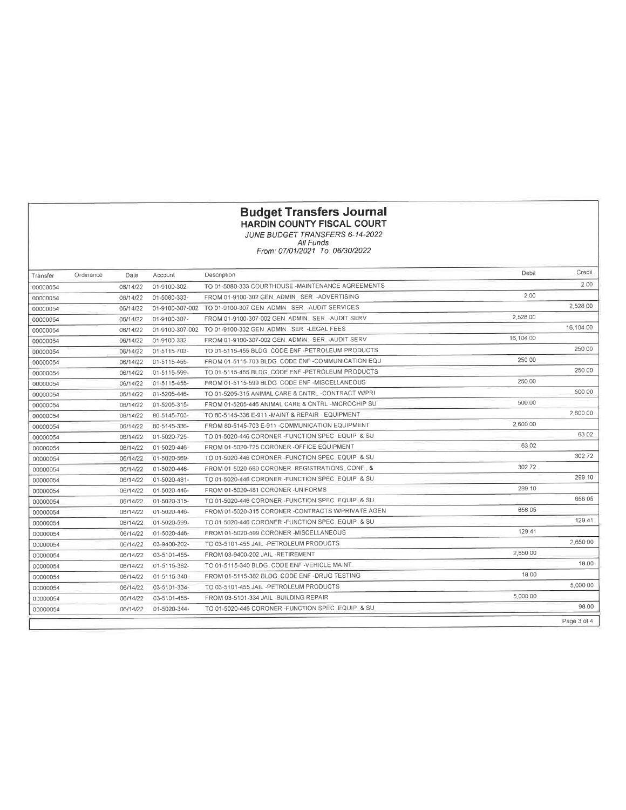#### HARDIN COUNTY FISCAL COURT

JUNE BUDGET IRANSFERS 6-14-2022 All Funds From: 07/01/2021 To: 06/30/2022

| Transfer | Ordinance | Dale     | Account         | Description                                              | Debit     | Credit    |
|----------|-----------|----------|-----------------|----------------------------------------------------------|-----------|-----------|
| 00000054 |           | 06/14/22 | 01-9100-302-    | TO 01-5080-333 COURTHOUSE -MAINTENANCE AGREEMENTS        |           | 2.00      |
| 00000054 |           | 06/14/22 | 01-5080-333-    | FROM 01-9100-302 GEN_ADMIN_SER_-ADVERTISING              | 2.00      |           |
| 00000054 |           | 06/14/22 | 01-9100-307-002 | TO 01-9100-307 GEN ADMIN SER -AUDIT SERVICES             |           | 2,528.00  |
| 00000054 |           | 06/14/22 | 01-9100-307-    | FROM 01-9100-307-002 GEN_ADMIN_SER_-AUDIT SERV           | 2,528.00  |           |
| 00000054 |           | 06/14/22 |                 | 01-9100-307-002 TO 01-9100-332 GEN ADMIN SER -LEGAL FEES |           | 16.104.00 |
| 00000054 |           | 06/14/22 | 01-9100-332-    | FROM 01-9100-307-002 GEN. ADMIN. SER. - AUDIT SERV       | 16,104.00 |           |
| 00000054 |           | 06/14/22 | 01-5115-703-    | TO 01-5115-455 BLDG CODE ENF -PETROLEUM PRODUCTS         |           | 250.00    |
| 00000054 |           | 06/14/22 | 01-5115-455-    | FROM 01-5115-703 BLDG, CODE ENF -COMMUNICATION EQU       | 250.00    |           |
| 00000054 |           | 06/14/22 | 01-5115-599-    | TO 01-5115-455 BLDG, CODE ENF -PETROLEUM PRODUCTS        |           | 250.00    |
| 00000054 |           | 06/14/22 | 01-5115-455-    | FROM 01-5115-599 BLDG CODE ENF -MISCELLANEOUS            | 250.00    |           |
| 00000054 |           | 06/14/22 | 01-5205-446-    | TO 01-5205-315 ANIMAL CARE & CNTRL -CONTRACT W/PRI       |           | 500 00    |
| 00000054 |           | 06/14/22 | 01-5205-315-    | FROM 01-5205-446 ANIMAL CARE & CNTRL -MICROCHIP SU       | 500.00    |           |
| 00000054 |           | 06/14/22 | 80-5145-703-    | TO 80-5145-336 E-911 -MAINT & REPAIR - EQUIPMENT         |           | 2,600 00  |
| 00000054 |           | 06/14/22 | 80-5145-336-    | FROM 80-5145-703 E-911 - COMMUNICATION EQUIPMENT         | 2,600 00  |           |
| 00000054 |           | 06/14/22 | 01-5020-725-    | TO 01-5020-446 CORONER -FUNCTION SPEC EQUIP & SU         |           | 63 02     |
| 00000054 |           | 06/14/22 | 01-5020-446-    | FROM 01-5020-725 CORONER -OFFICE EQUIPMENT               | 63 02     |           |
| 00000054 |           | 06/14/22 | 01-5020-569-    | TO 01-5020-446 CORONER - FUNCTION SPEC EQUIP & SU        |           | 302 72    |
| 00000054 |           | 06/14/22 | 01-5020-446-    | FROM 01-5020-569 CORONER -REGISTRATIONS CONF. &          | 302 72    |           |
| 00000054 |           | 06/14/22 | 01-5020-481-    | TO 01-5020-446 CORONER -FUNCTION SPEC EQUIP & SU         |           | 299 10    |
| 00000054 |           | 06/14/22 | 01-5020-446-    | FROM 01-5020-481 CORONER -UNIFORMS                       | 299 10    |           |
| 00000054 |           | 06/14/22 | 01-5020-315-    | TO 01-5020-446 CORONER -FUNCTION SPEC EQUIP & SU         |           | 656 05    |
| 00000054 |           | 06/14/22 | 01-5020-446-    | FROM 01-5020-315 CORONER -CONTRACTS W/PRIVATE AGEN       | 656.05    |           |
| 00000054 |           | 06/14/22 | 01-5020-599-    | TO 01-5020-446 CORONER - FUNCTION SPEC, EQUIP. & SU      |           | 129 41    |
| 00000054 |           | 06/14/22 | 01-5020-446-    | FROM 01-5020-599 CORONER -MISCELLANEOUS                  | 129 41    |           |
| 00000054 |           | 06/14/22 | 03-9400-202-    | TO 03-5101-455 JAIL -PETROLEUM PRODUCTS                  |           | 2.650 00  |
| 00000054 |           | 06/14/22 | 03-5101-455-    | FROM 03-9400-202 JAIL -RETIREMENT                        | 2,650 00  |           |
| 00000054 |           | 06/14/22 | 01-5115-382-    | TO 01-5115-340 BLDG. CODE ENF -VEHICLE MAINT             |           | 18.00     |
| 00000054 |           | 06/14/22 | 01-5115-340-    | FROM 01-5115-382 BLDG. CODE ENF -DRUG TESTING            | 18 00     |           |
| 00000054 |           | 06/14/22 | 03-5101-334-    | TO 03-5101-455 JAIL -PETROLEUM PRODUCTS                  |           | 5.000 00  |
| 00000054 |           | 06/14/22 | 03-5101-455-    | FROM 03-5101-334 JAIL -BUILDING REPAIR                   | 5,000 00  |           |
| 00000054 |           | 06/14/22 | 01-5020-344-    | TO 01-5020-446 CORONER - FUNCTION SPEC. EQUIP. & SU      |           | 98.00     |
|          |           |          |                 |                                                          |           |           |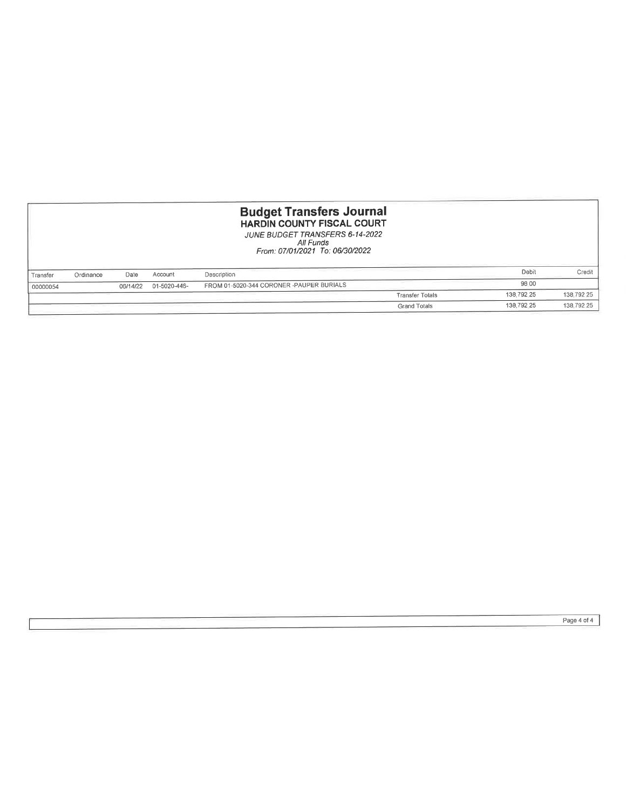|          |           |          |              | <b>Budget Transfers Journal</b><br><b>HARDIN COUNTY FISCAL COURT</b><br>JUNE BUDGET TRANSFERS 6-14-2022<br>All Funds<br>From: 07/01/2021 To: 06/30/2022 |                        |            |            |
|----------|-----------|----------|--------------|---------------------------------------------------------------------------------------------------------------------------------------------------------|------------------------|------------|------------|
| Transfer | Ordinance | Date     | Account      | Description                                                                                                                                             |                        | Debit      | Credit     |
| 00000054 |           | 06/14/22 | 01-5020-446- | FROM 01-5020-344 CORONER -PAUPER BURIALS                                                                                                                |                        | 98.00      |            |
|          |           |          |              |                                                                                                                                                         | <b>Transfer Totals</b> | 138,792.25 | 138,792 25 |
|          |           |          |              |                                                                                                                                                         | <b>Grand Totals</b>    | 138,792.25 | 138,792.25 |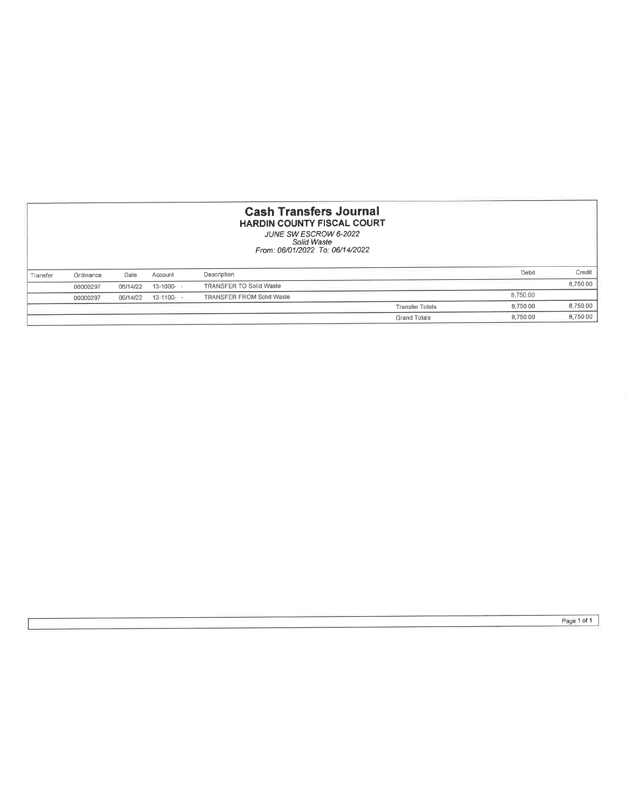| <b>Cash Transfers Journal</b><br><b>HARDIN COUNTY FISCAL COURT</b><br>JUNE SW ESCROW 6-2022<br>Solid Waste<br>From: 06/01/2022 To: 06/14/2022 |           |          |                 |                                  |                        |          |          |
|-----------------------------------------------------------------------------------------------------------------------------------------------|-----------|----------|-----------------|----------------------------------|------------------------|----------|----------|
| Transfer                                                                                                                                      | Ordinance | Date     | Account         | Description                      |                        | Debit    | Credit   |
|                                                                                                                                               | 00000297  | 06/14/22 | $13 - 1000 - -$ | <b>TRANSFER TO Solid Waste</b>   |                        |          | 8,750 00 |
|                                                                                                                                               | 00000297  | 06/14/22 | $13-1100-$      | <b>TRANSFER FROM Solid Waste</b> |                        | 8,750.00 |          |
|                                                                                                                                               |           |          |                 |                                  | <b>Transfer Totals</b> | 8.750.00 | 8,750.00 |
|                                                                                                                                               |           |          |                 |                                  | <b>Grand Totals</b>    | 8,750 00 | 8,75000  |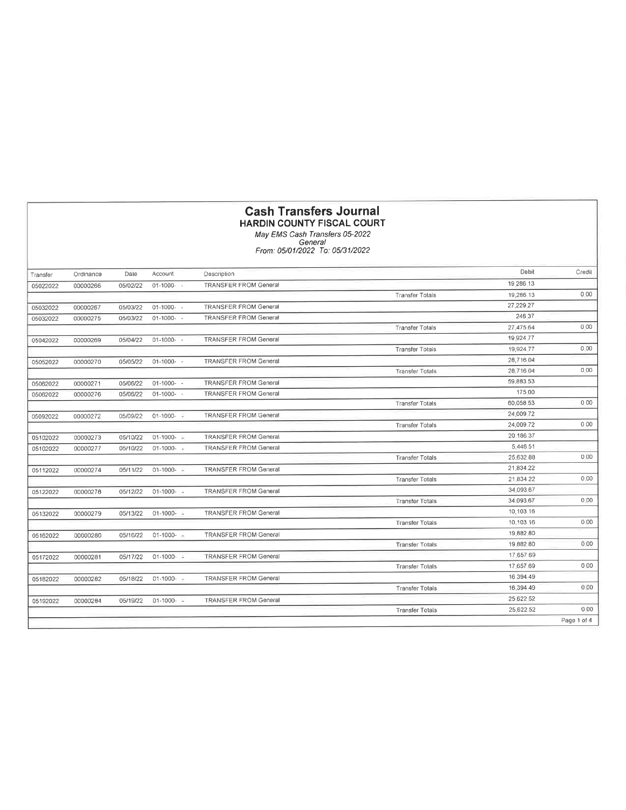## Cash Transfers Journal HARDIN COUNTY FISCAL COURT

May EMS Cash Transfers 05-2022 General From: 05/01 /2022 To: 05/31 /2022

| Transfer | Ordinance | Dale     | Account         | Description                  |                        | Debit      | Credit      |
|----------|-----------|----------|-----------------|------------------------------|------------------------|------------|-------------|
| 05022022 | 00000266  | 05/02/22 | $01-1000 -$     | <b>TRANSFER FROM General</b> |                        | 19 286 13  |             |
|          |           |          |                 |                              | <b>Transfer Totals</b> | 19.286 13  | 0.00        |
| 05032022 | 00000267  | 05/03/22 | $01-1000 -$     | <b>TRANSFER FROM General</b> |                        | 27,229.27  |             |
| 05032022 | 00000275  | 05/03/22 | $01-1000-$      | <b>TRANSFER FROM General</b> |                        | 246 37     |             |
|          |           |          |                 |                              | <b>Transfer Totals</b> | 27,475 64  | 0.00        |
| 05042022 | 00000269  | 05/04/22 | $01-1000 -$     | <b>TRANSFER FROM General</b> |                        | 19 9 24 77 |             |
|          |           |          |                 |                              | <b>Transfer Totals</b> | 19,924.77  | 0.00        |
| 05052022 | 00000270  | 05/05/22 | $01-1000 -$     | <b>TRANSFER FROM General</b> |                        | 28,716 04  |             |
|          |           |          |                 |                              | <b>Transfer Totals</b> | 28,716 04  | 0.00        |
| 05062022 | 00000271  | 05/06/22 | $01-1000-$      | <b>TRANSFER FROM General</b> |                        | 59,883 53  |             |
| 05062022 | 00000276  | 05/06/22 | $01-1000-$      | <b>TRANSFER FROM General</b> |                        | 175.00     |             |
|          |           |          |                 |                              | <b>Transfer Totals</b> | 60.058 53  | 000         |
| 05092022 | 00000272  | 05/09/22 | $01-1000 -$     | <b>TRANSFER FROM General</b> |                        | 24,00972   |             |
|          |           |          |                 |                              | <b>Transfer Totals</b> | 24,009 72  | 0.00        |
| 05102022 | 00000273  | 05/10/22 | $01-1000 - 100$ | <b>TRANSFER FROM General</b> |                        | 20,186 37  |             |
| 05102022 | 00000277  | 05/10/22 | $01 - 1000 -$   | <b>TRANSFER FROM General</b> |                        | 5,446.51   |             |
|          |           |          |                 |                              | <b>Transfer Totals</b> | 25,632 88  | 0.00        |
| 05112022 | 00000274  | 05/11/22 | $01-1000 -$     | <b>TRANSFER FROM General</b> |                        | 21.834.22  |             |
|          |           |          |                 |                              | <b>Transfer Totals</b> | 21,834.22  | 0,00        |
| 05122022 | 00000278  | 05/12/22 | $01-1000-$      | <b>TRANSFER FROM General</b> |                        | 34.093.67  |             |
|          |           |          |                 |                              | <b>Transfer Totals</b> | 34.093.67  | 0,00        |
| 05132022 | 00000279  | 05/13/22 | $01-1000-$      | <b>TRANSFER FROM General</b> |                        | 10.103 16  |             |
|          |           |          |                 |                              | <b>Transfer Totals</b> | 10,103 16  | 0.00        |
| 05162022 | 00000280  | 05/16/22 | $01-1000 - 100$ | <b>TRANSFER FROM General</b> |                        | 19,882.80  |             |
|          |           |          |                 |                              | <b>Transfer Totals</b> | 19,882.80  | 0.00        |
| 05172022 | 00000281  | 05/17/22 | $01-1000 - 100$ | <b>TRANSFER FROM General</b> |                        | 17,657 69  |             |
|          |           |          |                 |                              | <b>Transfer Tolals</b> | 17,657.69  | 0.00        |
| 05182022 | 00000282  | 05/18/22 | $01 - 1000 - +$ | <b>TRANSFER FROM General</b> |                        | 16,394 49  |             |
|          |           |          |                 |                              | <b>Transfer Totals</b> | 16,394.49  | 0.00        |
| 05192022 | 00000284  | 05/19/22 | $01-1000 -$     | <b>TRANSFER FROM General</b> |                        | 25 622 52  |             |
|          |           |          |                 |                              | <b>Transfer Totals</b> | 25.622 52  | 0.00        |
|          |           |          |                 |                              |                        |            | Page 1 of 4 |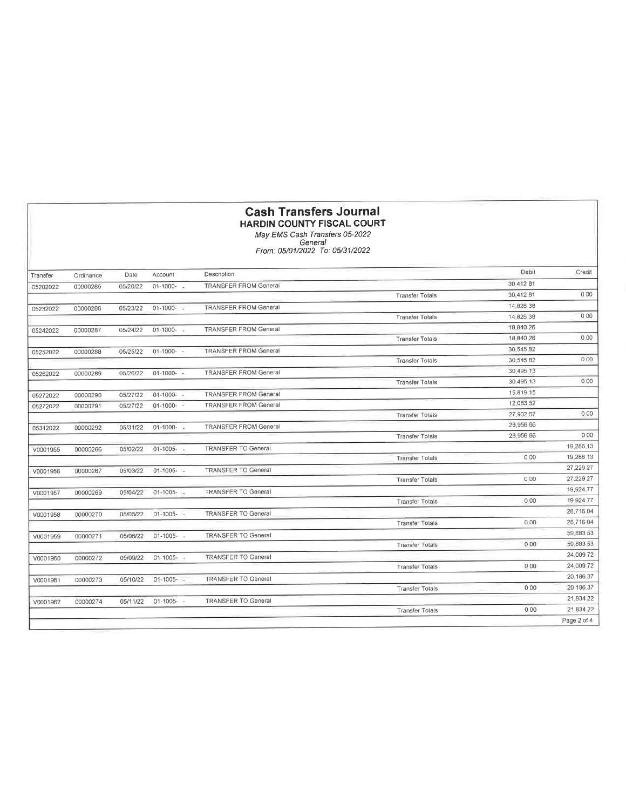|          |           |          |               | <b>Cash Transfers Journal</b>              |                        |           |             |
|----------|-----------|----------|---------------|--------------------------------------------|------------------------|-----------|-------------|
|          |           |          |               | <b>HARDIN COUNTY FISCAL COURT</b>          |                        |           |             |
|          |           |          |               | May EMS Cash Transfers 05-2022             |                        |           |             |
|          |           |          |               | General<br>From: 05/01/2022 To: 05/31/2022 |                        |           |             |
|          |           |          |               |                                            |                        |           |             |
| Transfer | Ordinance | Date     | Account       | Description                                |                        | Debil     | Credit      |
| 05202022 | 00000285  | 05/20/22 | $01-1000-$    | <b>TRANSFER FROM General</b>               |                        | 30,412 81 |             |
|          |           |          |               |                                            | <b>Transfer Totals</b> | 30,412 81 | 000         |
| 05232022 | 00000286  | 05/23/22 | $01-1000 -$   | <b>TRANSFER FROM General</b>               |                        | 14,826 38 |             |
|          |           |          |               |                                            | <b>Transfer Totals</b> | 14.826.38 | 000         |
| 05242022 | 00000287  | 05/24/22 | 01-1000-      | <b>TRANSFER FROM General</b>               |                        | 18,840 26 |             |
|          |           |          |               |                                            | <b>Transfer Totals</b> | 18,840 26 | 0,00        |
| 05252022 | 00000288  | 05/25/22 | $01 - 1000 -$ | <b>TRANSFER FROM General</b>               |                        | 30,545.82 |             |
|          |           |          |               |                                            | <b>Transfer Tolals</b> | 30,545 82 | 0.00        |
| 05262022 | 00000289  | 05/26/22 | $01-1000-$    | <b>TRANSFER FROM General</b>               |                        | 30,495 13 |             |
|          |           |          |               |                                            | <b>Transfer Totals</b> | 30,495 13 | 0,00        |
| 05272022 | 00000290  | 05/27/22 | $01-1000 - -$ | <b>TRANSFER FROM General</b>               |                        | 15,819.15 |             |
| 05272022 | 00000291  | 05/27/22 | $01-1000-$    | <b>TRANSFER FROM General</b>               |                        | 12,083.52 |             |
|          |           |          |               |                                            | <b>Transfer Tolals</b> | 27,902.67 | 0.00        |
| 05312022 | 00000292  | 05/31/22 | $01-1000-$    | <b>TRANSFER FROM General</b>               |                        | 28,956 66 |             |
|          |           |          |               |                                            | <b>Transfer Totals</b> | 28,956 66 | 0.00        |
| V0001955 | 00000266  | 05/02/22 | $01-1005 -$   | <b>TRANSFER TO General</b>                 |                        |           | 19,286 13   |
|          |           |          |               |                                            | <b>Transfer Tolals</b> | 0.00      | 19,286 13   |
| V0001956 | 00000267  | 05/03/22 | $01-1005 - 1$ | <b>TRANSFER TO General</b>                 |                        |           | 27,229 27   |
|          |           |          |               |                                            | <b>Transfer Totals</b> | 0.00      | 27,229.27   |
| V0001957 | 00000269  | 05/04/22 | $01-1005-1$   | <b>TRANSFER TO General</b>                 |                        |           | 19,924.77   |
|          |           |          |               |                                            | <b>Transfer Totals</b> | 0.00      | 19 9 24 77  |
| V0001958 | 00000270  | 05/05/22 | $01-1005 - -$ | <b>TRANSFER TO General</b>                 |                        |           | 28,716 04   |
|          |           |          |               |                                            | <b>Transfer Totals</b> | 0.00      | 28,716 04   |
| V0001959 | 00000271  | 05/06/22 | $01 - 1005 -$ | <b>TRANSFER TO General</b>                 |                        |           | 59,883.53   |
|          |           |          |               |                                            | <b>Transfer Totals</b> | 000       | 59,883.53   |
| V0001960 | 00000272  | 05/09/22 | $01-1005 - -$ | <b>TRANSFER TO General</b>                 |                        |           | 24,009 72   |
|          |           |          |               |                                            | <b>Transfer Totals</b> | 0.00      | 24,009 72   |
| V0001961 | 00000273  | 05/10/22 | $01-1005-11$  | TRANSFER TO General                        |                        |           | 20,186.37   |
|          |           |          |               |                                            | <b>Transfer Tolals</b> | 0.00      | 20,186.37   |
| V0001962 | 00000274  | 05/11/22 | $01-1005 - -$ | <b>TRANSFER TO General</b>                 |                        |           | 21,834 22   |
|          |           |          |               |                                            | <b>Transfer Totals</b> | 000       | 21,834 22   |
|          |           |          |               |                                            |                        |           | Page 2 of 4 |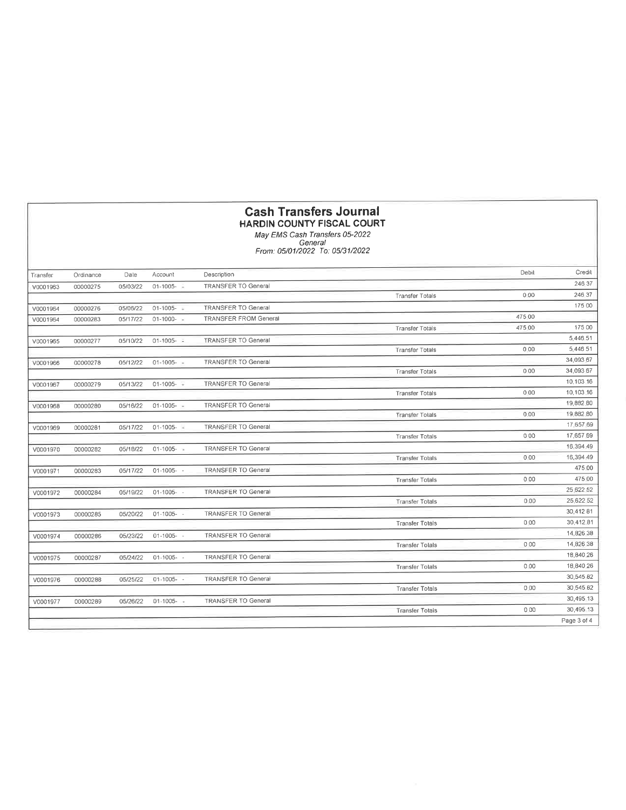## Cash Transfers Journal HARDIN COUNTY FISCAL COURT

May EMS Cash lransfers 05-2022 General From : 05/01 /2022 To: 05/31 /2022

| Transfer | Ordinance | Date     | Account         | Description                  |                        | Debil  | Credit      |
|----------|-----------|----------|-----------------|------------------------------|------------------------|--------|-------------|
| V0001963 | 00000275  | 05/03/22 | 01-1005-        | <b>TRANSFER TO General</b>   |                        |        | 246 37      |
|          |           |          |                 |                              | <b>Transfer Totals</b> | 0.00   | 246 37      |
| V0001964 | 00000276  | 05/06/22 | $01-1005 - 1$   | <b>TRANSFER TO General</b>   |                        |        | 175 00      |
| V0001964 | 00000283  | 05/17/22 | $01-1000-$      | <b>TRANSFER FROM General</b> |                        | 475.00 |             |
|          |           |          |                 |                              | <b>Transfer Totals</b> | 475 00 | 175 00      |
| V0001965 | 00000277  | 05/10/22 | $01-1005 - 1$   | <b>TRANSFER TO General</b>   |                        |        | 5,446.51    |
|          |           |          |                 |                              | <b>Transfer Totals</b> | 0.00   | 5,446 51    |
| V0001966 | 00000278  | 05/12/22 | $01-1005 - -$   | <b>TRANSFER TO General</b>   |                        |        | 34,093.67   |
|          |           |          |                 |                              | <b>Transfer Totals</b> | 000    | 34,093 67   |
| V0001967 | 00000279  | 05/13/22 | $01-1005 -$     | <b>TRANSFER TO General</b>   |                        |        | 10.103.16   |
|          |           |          |                 |                              | <b>Transfer Totals</b> | 0.00   | 10,103.16   |
| V0001968 | 00000280  | 05/16/22 | $01-1005 -$     | <b>TRANSFER TO General</b>   |                        |        | 19,882.80   |
|          |           |          |                 |                              | <b>Transfer Tolals</b> | 0.00   | 19,882,80   |
| V0001969 | 00000281  | 05/17/22 | $01-1005 -$     | <b>TRANSFER TO General</b>   |                        |        | 17,657.69   |
|          |           |          |                 |                              | <b>Transfer Totals</b> | 0.00   | 17,657.69   |
| V0001970 | 00000282  | 05/18/22 | $01-1005 -$     | <b>TRANSFER TO General</b>   |                        |        | 16.394.49   |
|          |           |          |                 |                              | <b>Transfer Tolals</b> | 0.00   | 16,394.49   |
| V0001971 | 00000283  | 05/17/22 | $01-1005 -$     | <b>TRANSFER TO General</b>   |                        |        | 475.00      |
|          |           |          |                 |                              | <b>Transfer Totals</b> | 0.00   | 475.00      |
| V0001972 | 00000284  | 05/19/22 | $01 - 1005 - -$ | <b>TRANSFER TO General</b>   |                        |        | 25.622.52   |
|          |           |          |                 |                              | <b>Transfer Totals</b> | 0.00   | 25.622 52   |
| V0001973 | 00000285  | 05/20/22 | $01-1005 -$     | <b>TRANSFER TO General</b>   |                        |        | 30.412 81   |
|          |           |          |                 |                              | <b>Transfer Totals</b> | 0.00   | 30,412.81   |
| V0001974 | 00000286  | 05/23/22 | $01 - 1005 -$   | <b>TRANSFER TO General</b>   |                        |        | 14,826 38   |
|          |           |          |                 |                              | <b>Transfer Tolals</b> | 0.00   | 14,826.38   |
| V0001975 | 00000287  | 05/24/22 | $01-1005 - -$   | <b>TRANSFER TO General</b>   |                        |        | 18,840.26   |
|          |           |          |                 |                              | <b>Transfer Tolals</b> | 0.00   | 18,840 26   |
| V0001976 | 00000288  | 05/25/22 | $01 - 1005 -$   | <b>TRANSFER TO General</b>   |                        |        | 30.545 82   |
|          |           |          |                 |                              | <b>Transfer Totals</b> | 0.00   | 30,545 82   |
| V0001977 | 00000289  | 05/26/22 | $01 - 1005 - -$ | <b>TRANSFER TO General</b>   |                        |        | 30,495 13   |
|          |           |          |                 |                              | <b>Transfer Totals</b> | 0.00   | 30,495 13   |
|          |           |          |                 |                              |                        |        | Page 3 of 4 |